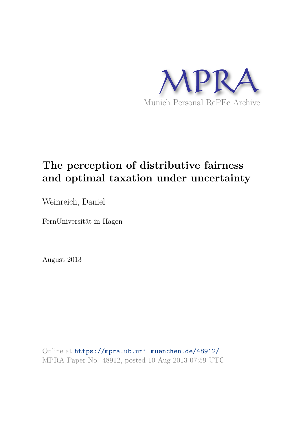

# **The perception of distributive fairness and optimal taxation under uncertainty**

Weinreich, Daniel

FernUniversität in Hagen

August 2013

Online at https://mpra.ub.uni-muenchen.de/48912/ MPRA Paper No. 48912, posted 10 Aug 2013 07:59 UTC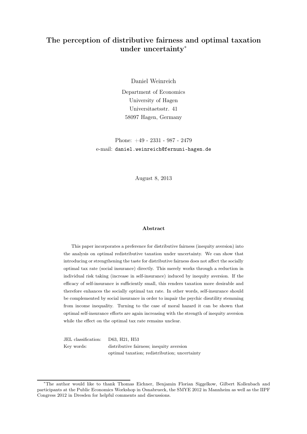# The perception of distributive fairness and optimal taxation under uncertainty<sup>∗</sup>

Daniel Weinreich

Department of Economics University of Hagen Universitaetsstr. 41 58097 Hagen, Germany

Phone: +49 - 2331 - 987 - 2479 e-mail: daniel.weinreich@fernuni-hagen.de

August 8, 2013

#### Abstract

This paper incorporates a preference for distributive fairness (inequity aversion) into the analysis on optimal redistributive taxation under uncertainty. We can show that introducing or strengthening the taste for distributive fairness does not affect the socially optimal tax rate (social insurance) directly. This merely works through a reduction in individual risk taking (increase in self-insurance) induced by inequity aversion. If the efficacy of self-insurance is sufficiently small, this renders taxation more desirable and therefore enhances the socially optimal tax rate. In other words, self-insurance should be complemented by social insurance in order to impair the psychic disutility stemming from income inequality. Turning to the case of moral hazard it can be shown that optimal self-insurance efforts are again increasing with the strength of inequity aversion while the effect on the optimal tax rate remains unclear.

JEL classification: D63, H21, H53 Key words: distributive fairness; inequity aversion optimal taxation; redistribution; uncertainty

<sup>∗</sup>The author would like to thank Thomas Eichner, Benjamin Florian Siggelkow, Gilbert Kollenbach and participants at the Public Economics Workshop in Osnabrueck, the SMYE 2012 in Mannheim as well as the IIPF Congress 2012 in Dresden for helpful comments and discussions.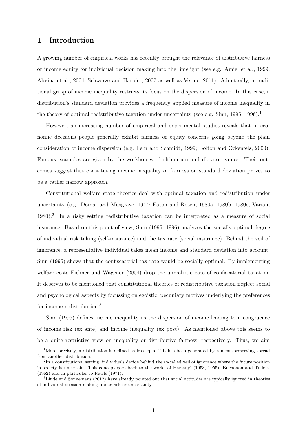## 1 Introduction

A growing number of empirical works has recently brought the relevance of distributive fairness or income equity for individual decision making into the limelight (see e.g. Amiel et al., 1999; Alesina et al., 2004; Schwarze and Härpfer, 2007 as well as Verme, 2011). Admittedly, a traditional grasp of income inequality restricts its focus on the dispersion of income. In this case, a distribution's standard deviation provides a frequently applied measure of income inequality in the theory of optimal redistributive taxation under uncertainty (see e.g. Sinn, 1995, 1996).<sup>1</sup>

However, an increasing number of empirical and experimental studies reveals that in economic decisions people generally exhibit fairness or equity concerns going beyond the plain consideration of income dispersion (e.g. Fehr and Schmidt, 1999; Bolton and Ockenfels, 2000). Famous examples are given by the workhorses of ultimatum and dictator games. Their outcomes suggest that constituting income inequality or fairness on standard deviation proves to be a rather narrow approach.

Constitutional welfare state theories deal with optimal taxation and redistribution under uncertainty (e.g. Domar and Musgrave, 1944; Eaton and Rosen, 1980a, 1980b, 1980c; Varian, 1980).<sup>2</sup> In a risky setting redistributive taxation can be interpreted as a measure of social insurance. Based on this point of view, Sinn (1995, 1996) analyzes the socially optimal degree of individual risk taking (self-insurance) and the tax rate (social insurance). Behind the veil of ignorance, a representative individual takes mean income and standard deviation into account. Sinn (1995) shows that the confiscatorial tax rate would be socially optimal. By implementing welfare costs Eichner and Wagener (2004) drop the unrealistic case of confiscatorial taxation. It deserves to be mentioned that constitutional theories of redistributive taxation neglect social and psychological aspects by focussing on egoistic, pecuniary motives underlying the preferences for income redistribution.<sup>3</sup>

Sinn (1995) defines income inequality as the dispersion of income leading to a congruence of income risk (ex ante) and income inequality (ex post). As mentioned above this seems to be a quite restrictive view on inequality or distributive fairness, respectively. Thus, we aim

<sup>&</sup>lt;sup>1</sup>More precisely, a distribution is defined as less equal if it has been generated by a mean-preserving spread from another distribution.

 $2<sup>2</sup>$ In a constitutional setting, individuals decide behind the so-called veil of ignorance where the future position in society is uncertain. This concept goes back to the works of Harsanyi (1953, 1955), Buchanan and Tullock (1962) and in particular to Rawls (1971).

<sup>&</sup>lt;sup>3</sup>Linde and Sonnemans (2012) have already pointed out that social attitudes are typically ignored in theories of individual decision making under risk or uncertainty.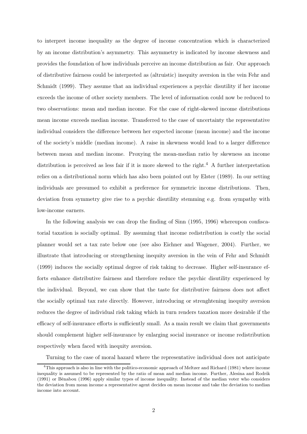to interpret income inequality as the degree of income concentration which is characterized by an income distribution's asymmetry. This asymmetry is indicated by income skewness and provides the foundation of how individuals perceive an income distribution as fair. Our approach of distributive fairness could be interpreted as (altruistic) inequity aversion in the vein Fehr and Schmidt (1999). They assume that an individual experiences a psychic disutility if her income exceeds the income of other society members. The level of information could now be reduced to two observations: mean and median income. For the case of right-skewed income distributions mean income exceeds median income. Transferred to the case of uncertainty the representative individual considers the difference between her expected income (mean income) and the income of the society's middle (median income). A raise in skewness would lead to a larger difference between mean and median income. Proxying the mean-median ratio by skewness an income distribution is perceived as less fair if it is more skewed to the right.<sup>4</sup> A further interpretation relies on a distributional norm which has also been pointed out by Elster (1989). In our setting individuals are presumed to exhibit a preference for symmetric income distributions. Then, deviation from symmetry give rise to a psychic disutility stemming e.g. from sympathy with low-income earners.

In the following analysis we can drop the finding of Sinn (1995, 1996) whereupon confiscatorial taxation is socially optimal. By assuming that income redistribution is costly the social planner would set a tax rate below one (see also Eichner and Wagener, 2004). Further, we illustrate that introducing or strengthening inequity aversion in the vein of Fehr and Schmidt (1999) induces the socially optimal degree of risk taking to decrease. Higher self-insurance efforts enhance distributive fairness and therefore reduce the psychic disutility experienced by the individual. Beyond, we can show that the taste for distributive fairness does not affect the socially optimal tax rate directly. However, introducing or strenghtening inequity aversion reduces the degree of individual risk taking which in turn renders taxation more desirable if the efficacy of self-insurance efforts is sufficiently small. As a main result we claim that governments should complement higher self-insurance by enlarging social insurance or income redistribution respectively when faced with inequity aversion.

Turning to the case of moral hazard where the representative individual does not anticipate

 ${}^{4}$ This approach is also in line with the politico-economic approach of Meltzer and Richard (1981) where income inequality is assumed to be represented by the ratio of mean and median income. Further, Alesina and Rodrik (1991) or Bénabou (1996) apply similar types of income inequality. Instead of the median voter who considers the deviation from mean income a representative agent decides on mean income and take the deviation to median income into account.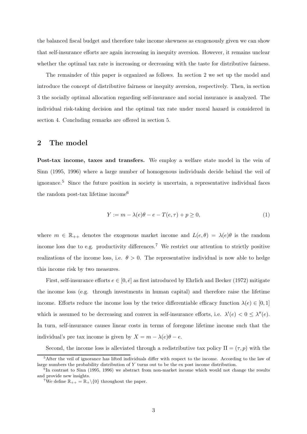the balanced fiscal budget and therefore take income skewness as exogenously given we can show that self-insurance efforts are again increasing in inequity aversion. However, it remains unclear whether the optimal tax rate is increasing or decreasing with the taste for distributive fairness.

The remainder of this paper is organized as follows. In section 2 we set up the model and introduce the concept of distributive fairness or inequity aversion, respectively. Then, in section 3 the socially optimal allocation regarding self-insurance and social insurance is analyzed. The individual risk-taking decision and the optimal tax rate under moral hazard is considered in section 4. Concluding remarks are offered in section 5.

# 2 The model

Post-tax income, taxes and transfers. We employ a welfare state model in the vein of Sinn (1995, 1996) where a large number of homogenous individuals decide behind the veil of ignorance.<sup>5</sup> Since the future position in society is uncertain, a representative individual faces the random post-tax lifetime income<sup>6</sup>

$$
Y := m - \lambda(e)\theta - e - T(e, \tau) + p \ge 0,\tag{1}
$$

where  $m \in \mathbb{R}_{++}$  denotes the exogenous market income and  $L(e, \theta) = \lambda(e)\theta$  is the random income loss due to e.g. productivity differences.<sup>7</sup> We restrict our attention to strictly positive realizations of the income loss, i.e.  $\theta > 0$ . The representative individual is now able to hedge this income risk by two measures.

First, self-insurance efforts  $e \in [0, \bar{e}]$  as first introduced by Ehrlich and Becker (1972) mitigate the income loss (e.g. through investments in human capital) and therefore raise the lifetime income. Efforts reduce the income loss by the twice differentiable efficacy function  $\lambda(e) \in [0,1]$ which is assumed to be decreasing and convex in self-insurance efforts, i.e.  $\lambda'(e) < 0 \leq \lambda''(e)$ . In turn, self-insurance causes linear costs in terms of foregone lifetime income such that the individual's pre tax income is given by  $X = m - \lambda(e)\theta - e$ .

Second, the income loss is alleviated through a redistributive tax policy  $\Pi = (\tau, p)$  with the

 $5$ After the veil of ignorance has lifted individuals differ with respect to the income. According to the law of large numbers the probability distribution of Y turns out to be the ex post income distribution.

 $^{6}$ In contrast to Sinn (1995, 1996) we abstract from non-market income which would not change the results and provide new insights.

<sup>&</sup>lt;sup>7</sup>We define  $\mathbb{R}_{++} = \mathbb{R}_{+} \setminus \{0\}$  throughout the paper.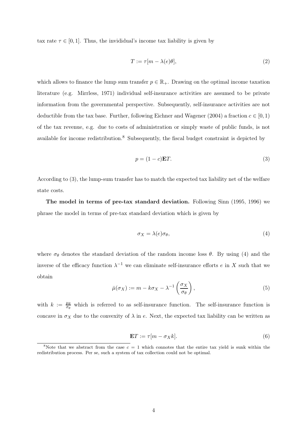tax rate  $\tau \in [0, 1]$ . Thus, the invididual's income tax liability is given by

$$
T := \tau[m - \lambda(e)\theta],\tag{2}
$$

which allows to finance the lump sum transfer  $p \in \mathbb{R}_+$ . Drawing on the optimal income taxation literature (e.g. Mirrless, 1971) individual self-insurance activities are assumed to be private information from the governmental perspective. Subsequently, self-insurance activities are not deductible from the tax base. Further, following Eichner and Wagener (2004) a fraction  $c \in [0,1)$ of the tax revenue, e.g. due to costs of administration or simply waste of public funds, is not available for income redistribution.<sup>8</sup> Subsequently, the fiscal budget constraint is depicted by

$$
p = (1 - c)ET.
$$
 (3)

According to (3), the lump-sum transfer has to match the expected tax liability net of the welfare state costs.

The model in terms of pre-tax standard deviation. Following Sinn (1995, 1996) we phrase the model in terms of pre-tax standard deviation which is given by

$$
\sigma_X = \lambda(e)\sigma_\theta,\tag{4}
$$

where  $\sigma_{\theta}$  denotes the standard deviation of the random income loss  $\theta$ . By using (4) and the inverse of the efficacy function  $\lambda^{-1}$  we can eliminate self-insurance efforts e in X such that we obtain

$$
\bar{\mu}(\sigma_X) := m - k\sigma_X - \lambda^{-1}\left(\frac{\sigma_X}{\sigma_\theta}\right),\tag{5}
$$

with  $k := \frac{\mu_{\theta}}{\sigma_{\theta}}$  $\frac{\mu_{\theta}}{\sigma_{\theta}}$  which is referred to as self-insurance function. The self-insurance function is concave in  $\sigma_X$  due to the convexity of  $\lambda$  in e. Next, the expected tax liability can be written as

$$
\mathbf{E}T := \tau[m - \sigma_X k].\tag{6}
$$

<sup>&</sup>lt;sup>8</sup>Note that we abstract from the case  $c = 1$  which connotes that the entire tax yield is sunk within the redistribution process. Per se, such a system of tax collection could not be optimal.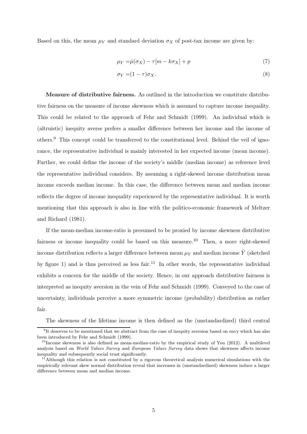Based on this, the mean  $\mu_Y$  and standard deviation  $\sigma_X$  of post-tax income are given by:

$$
\mu_Y = \bar{\mu}(\sigma_X) - \tau[m - k\sigma_X] + p \tag{7}
$$

$$
\sigma_Y = (1 - \tau)\sigma_X. \tag{8}
$$

Measure of distributive fairness. As outlined in the introduction we constitute distributive fairness on the measure of income skewness which is assumed to capture income inequality. This could be related to the approach of Fehr and Schmidt (1999). An individual which is (altruistic) inequity averse prefers a smaller difference between her income and the income of others.<sup>9</sup> This concept could be transferred to the constitutional level. Behind the veil of ignorance, the representative individual is mainly interested in her expected income (mean income). Further, we could define the income of the society's middle (median income) as reference level the representative individual considers. By assuming a right-skewed income distribution mean income exceeds median income. In this case, the difference between mean and median income reflects the degree of income inequality experienced by the representative individual. It is worth mentioning that this approach is also in line with the politico-economic framework of Meltzer and Richard (1981).

If the mean-median income-ratio is presumed to be proxied by income skewness distributive fairness or income inequality could be based on this measure.<sup>10</sup> Then, a more right-skewed income distribution reflects a larger difference between mean  $\mu_Y$  and median income  $\tilde{Y}$  (sketched by figure 1) and is thus perceived as less fair.<sup>11</sup> In other words, the representative individual exhibits a concern for the middle of the society. Hence, in our approach distributive fairness is interpreted as inequity aversion in the vein of Fehr and Schmidt (1999). Conveyed to the case of uncertainty, individuals perceive a more symmetric income (probability) distribution as rather fair.

The skewness of the lifetime income is then defined as the (unstandardized) third central

<sup>&</sup>lt;sup>9</sup>It deserves to be mentioned that we abstract from the case of inequity aversion based on envy which has also been introduced by Fehr and Schmidt (1999).

 $10$ Income skewness is also defined as mean-median-ratio by the empirical study of You (2012). A multilevel analysis based on World Values Survey and European Values Survey data shows that skewness affects income inequality and subsequently social trust significantly.

<sup>&</sup>lt;sup>11</sup>Although this relation is not constituted by a rigorous theoretical analysis numerical simulations with the empirically relevant skew normal distribution reveal that increases in (unstandardized) skewness induce a larger difference between mean and median income.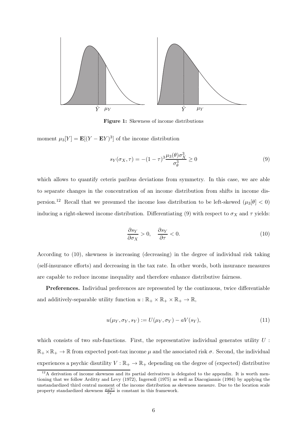

Figure 1: Skewness of income distributions

moment  $\mu_3[Y] = \mathbf{E}[(Y - \mathbf{E}Y)^3]$  of the income distribution

$$
s_Y(\sigma_X, \tau) = -(1 - \tau)^3 \frac{\mu_3(\theta) \sigma_X^3}{\sigma_\theta^3} \ge 0
$$
\n<sup>(9)</sup>

which allows to quantify ceteris paribus deviations from symmetry. In this case, we are able to separate changes in the concentration of an income distribution from shifts in income dispersion.<sup>12</sup> Recall that we presumed the income loss distribution to be left-skewed  $(\mu_3[\theta] < 0)$ inducing a right-skewed income distribution. Differentiating (9) with respect to  $\sigma_X$  and  $\tau$  yields:

$$
\frac{\partial s_Y}{\partial \sigma_X} > 0, \quad \frac{\partial s_Y}{\partial \tau} < 0.
$$
 (10)

According to (10), skewness is increasing (decreasing) in the degree of individual risk taking (self-insurance efforts) and decreasing in the tax rate. In other words, both insurance measures are capable to reduce income inequality and therefore enhance distributive fairness.

Preferences. Individual preferences are represented by the continuous, twice differentiable and additively-separable utility function  $u : \mathbb{R}_+ \times \mathbb{R}_+ \times \mathbb{R}_+ \to \mathbb{R}$ ,

$$
u(\mu_Y, \sigma_Y, s_Y) := U(\mu_Y, \sigma_Y) - aV(s_Y), \qquad (11)
$$

which consists of two sub-functions. First, the representative individual generates utility  $U$ :  $\mathbb{R}_+ \times \mathbb{R}_+ \to \mathbb{R}$  from expected post-tax income  $\mu$  and the associated risk  $\sigma$ . Second, the individual experiences a psychic disutility  $V : \mathbb{R}_+ \to \mathbb{R}_+$  depending on the degree of (expected) distributive

<sup>&</sup>lt;sup>12</sup>A derivation of income skewness and its partial derivatives is delegated to the appendix. It is worth mentioning that we follow Arditty and Levy (1972), Ingersoll (1975) as well as Diacogiannis (1994) by applying the unstandardized third central moment of the income distribution as skewness measure. Due to the location scale property standardized skewness  $\frac{\mu_3[Y]}{\sigma_Y}$  is constant in this framework.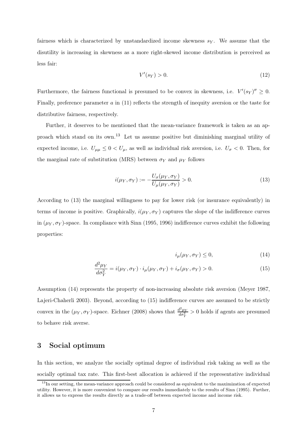fairness which is characterized by unstandardized income skewness  $s_Y$ . We assume that the disutility is increasing in skewness as a more right-skewed income distribution is perceived as less fair:

$$
V'(s_Y) > 0.\t\t(12)
$$

Furthermore, the fairness functional is presumed to be convex in skewness, i.e.  $V'(s_Y)'' \geq 0$ . Finally, preference parameter  $a$  in (11) reflects the strength of inequity aversion or the taste for distributive fairness, respectively.

Further, it deserves to be mentioned that the mean-variance framework is taken as an approach which stand on its own.<sup>13</sup> Let us assume positive but diminishing marginal utility of expected income, i.e.  $U_{\mu\mu} \leq 0 < U_{\mu}$ , as well as individual risk aversion, i.e.  $U_{\sigma} < 0$ . Then, for the marginal rate of substitution (MRS) between  $\sigma_Y$  and  $\mu_Y$  follows

$$
i(\mu_Y, \sigma_Y) := -\frac{U_{\sigma}(\mu_Y, \sigma_Y)}{U_{\mu}(\mu_Y, \sigma_Y)} > 0.
$$
\n(13)

According to (13) the marginal willingness to pay for lower risk (or insurance equivalently) in terms of income is positive. Graphically,  $i(\mu_Y, \sigma_Y)$  captures the slope of the indifference curves in  $(\mu_Y, \sigma_Y)$ -space. In compliance with Sinn (1995, 1996) indifference curves exhibit the following properties:

$$
i_{\mu}(\mu_Y, \sigma_Y) \le 0,\tag{14}
$$

$$
\frac{d^2\mu_Y}{d\sigma_Y^2} = i(\mu_Y, \sigma_Y) \cdot i_\mu(\mu_Y, \sigma_Y) + i_\sigma(\mu_Y, \sigma_Y) > 0.
$$
\n(15)

Assumption (14) represents the property of non-increasing absolute risk aversion (Meyer 1987, Lajeri-Chaherli 2003). Beyond, according to (15) indifference curves are assumed to be strictly convex in the  $(\mu_Y, \sigma_Y)$ -space. Eichner (2008) shows that  $\frac{d^2\mu_Y}{d\sigma_Y^2}$ .  $\frac{d^2\mu_Y}{d\sigma_Y^2} > 0$  holds if agents are presumed to behave risk averse.

## 3 Social optimum

In this section, we analyze the socially optimal degree of individual risk taking as well as the socially optimal tax rate. This first-best allocation is achieved if the representative individual

<sup>&</sup>lt;sup>13</sup>In our setting, the mean-variance approach could be considered as equivalent to the maximization of expected utility. However, it is more convenient to compare our results immediately to the results of Sinn (1995). Further, it allows us to express the results directly as a trade-off between expected income and income risk.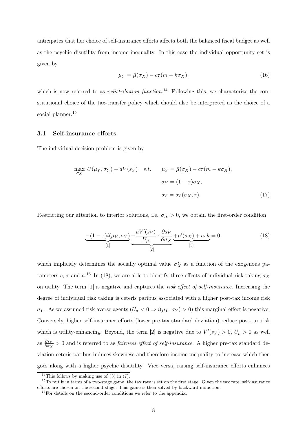anticipates that her choice of self-insurance efforts affects both the balanced fiscal budget as well as the psychic disutility from income inequality. In this case the individual opportunity set is given by

$$
\mu_Y = \bar{\mu}(\sigma_X) - c\tau(m - k\sigma_X),\tag{16}
$$

which is now referred to as *redistribution function*.<sup>14</sup> Following this, we characterize the constitutional choice of the tax-transfer policy which chould also be interpreted as the choice of a social planner.<sup>15</sup>

#### 3.1 Self-insurance efforts

The individual decision problem is given by

$$
\max_{\sigma_X} U(\mu_Y, \sigma_Y) - aV(s_Y) \quad s.t. \qquad \mu_Y = \bar{\mu}(\sigma_X) - c\tau(m - k\sigma_X),
$$

$$
\sigma_Y = (1 - \tau)\sigma_X,
$$

$$
s_Y = s_Y(\sigma_X, \tau). \tag{17}
$$

Restricting our attention to interior solutions, i.e.  $\sigma_X > 0$ , we obtain the first-order condition

$$
\underbrace{-(1-\tau)i(\mu_Y,\sigma_Y)}_{[1]}\underbrace{-aV'(s_Y)}_{[2]}\cdot\underbrace{\frac{\partial s_Y}{\partial \sigma_X}}_{[3]}\underbrace{+\bar{\mu}'(\sigma_X)+c\tau k}_{[3]}=0,\tag{18}
$$

which implicitly determines the socially optimal value  $\sigma_X^*$  as a function of the exogenous parameters c,  $\tau$  and a.<sup>16</sup> In (18), we are able to identify three effects of individual risk taking  $\sigma_X$ on utility. The term [1] is negative and captures the risk effect of self-insurance. Increasing the degree of individual risk taking is ceteris paribus associated with a higher post-tax income risk  $\sigma_Y$ . As we assumed risk averse agents  $(U_{\sigma} < 0 \Rightarrow i(\mu_Y, \sigma_Y) > 0)$  this marginal effect is negative. Conversely, higher self-insurance efforts (lower pre-tax standard deviation) reduce post-tax risk which is utility-enhancing. Beyond, the term [2] is negative due to  $V'(s_Y) > 0$ ,  $U_\mu > 0$  as well as  $\frac{\partial s_Y}{\partial \sigma_X} > 0$  and is referred to as *fairness effect of self-insurance*. A higher pre-tax standard deviation ceteris paribus induces skewness and therefore income inequality to increase which then goes along with a higher psychic disutility. Vice versa, raising self-insurance efforts enhances

<sup>&</sup>lt;sup>14</sup>This follows by making use of  $(3)$  in  $(7)$ .

<sup>&</sup>lt;sup>15</sup>To put it in terms of a two-stage game, the tax rate is set on the first stage. Given the tax rate, self-insurance efforts are chosen on the second stage. This game is then solved by backward induction.

 $^{16}$  For details on the second-order conditions we refer to the appendix.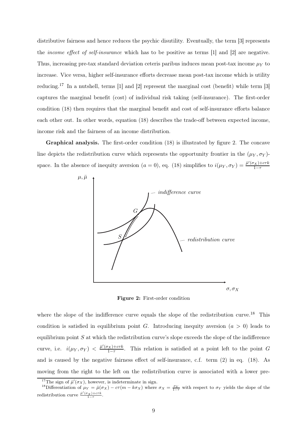distributive fairness and hence reduces the psychic disutility. Eventually, the term [3] represents the income effect of self-insurance which has to be positive as terms [1] and [2] are negative. Thus, increasing pre-tax standard deviation ceteris paribus induces mean post-tax income  $\mu_Y$  to increase. Vice versa, higher self-insurance efforts decrease mean post-tax income which is utility reducing.<sup>17</sup> In a nutshell, terms [1] and [2] represent the marginal cost (benefit) while term [3] captures the marginal benefit (cost) of individual risk taking (self-insurance). The first-order condition (18) then requires that the marginal benefit and cost of self-insurance efforts balance each other out. In other words, equation (18) describes the trade-off between expected income, income risk and the fairness of an income distribution.

Graphical analysis. The first-order condition (18) is illustrated by figure 2. The concave line depicts the redistribution curve which represents the opportunity frontier in the  $(\mu_Y, \sigma_Y)$ space. In the absence of inequity aversion  $(a = 0)$ , eq. (18) simplifies to  $i(\mu_Y, \sigma_Y) = \frac{\bar{\mu}'(\sigma_X) + c\tau k}{1-\tau}$ 



Figure 2: First-order condition

where the slope of the indifference curve equals the slope of the redistribution curve.<sup>18</sup> This condition is satisfied in equilibrium point G. Introducing inequity aversion  $(a > 0)$  leads to equilibrium point  $S$  at which the redistribution curve's slope exceeds the slope of the indifference curve, i.e.  $i(\mu_Y, \sigma_Y) < \frac{\bar{\mu}'(\sigma_X) + c\tau k}{1-\tau}$ . This relation is satisfied at a point left to the point G and is caused by the negative fairness effect of self-insurance, c.f. term (2) in eq. (18). As moving from the right to the left on the redistribution curve is associated with a lower pre-

<sup>&</sup>lt;sup>17</sup>The sign of  $\bar{\mu}'(\sigma_X)$ , however, is indeterminate in sign.

<sup>&</sup>lt;sup>18</sup>Differentiation of  $\mu_Y = \bar{\mu}(\sigma_X) - c\tau(m - k\sigma_X)$  where  $\sigma_X = \frac{\sigma_Y}{1-\tau}$  with respect to  $\sigma_Y$  yields the slope of the redistribution curve  $\frac{\bar{\mu}'(\sigma_X) + c\tau k}{1 - \tau}$ .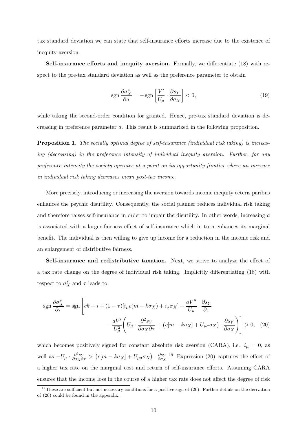tax standard deviation we can state that self-insurance efforts increase due to the existence of inequity aversion.

Self-insurance efforts and inequity aversion. Formally, we differentiate (18) with respect to the pre-tax standard deviation as well as the preference parameter to obtain

$$
sgn \frac{\partial \sigma_X^*}{\partial a} = -sgn \left[ \frac{V'}{U_\mu} \cdot \frac{\partial s_Y}{\partial \sigma_X} \right] < 0,\tag{19}
$$

while taking the second-order condition for granted. Hence, pre-tax standard deviation is decreasing in preference parameter a. This result is summarized in the following proposition.

Proposition 1. The socially optimal degree of self-insurance (individual risk taking) is increasing (decreasing) in the preference intensity of individual inequity aversion. Further, for any preference intensity the society operates at a point on its opportunity frontier where an increase in individual risk taking decreases mean post-tax income.

More precisely, introducing or increasing the aversion towards income inequity ceteris paribus enhances the psychic disutility. Consequently, the social planner reduces individual risk taking and therefore raises self-insurance in order to impair the disutility. In other words, increasing a is associated with a larger fairness effect of self-insurance which in turn enhances its marginal benefit. The individual is then willing to give up income for a reduction in the income risk and an enlargement of distributive fairness.

Self-insurance and redistributive taxation. Next, we strive to analyze the effect of a tax rate change on the degree of individual risk taking. Implicitly differentiating (18) with respect to  $\sigma_X^*$  and  $\tau$  leads to

$$
\operatorname{sgn} \frac{\partial \sigma_X^*}{\partial \tau} = \operatorname{sgn} \left[ ck + i + (1 - \tau) [i_\mu c(m - k \sigma_X) + i_\sigma \sigma_X] - \frac{aV''}{U_\mu} \cdot \frac{\partial s_Y}{\partial \tau} - \frac{aV'}{U_\mu^2} \left( U_\mu \cdot \frac{\partial^2 s_Y}{\partial \sigma_X \partial \tau} + (c[m - k \sigma_X] + U_{\mu \sigma} \sigma_X) \cdot \frac{\partial s_Y}{\partial \sigma_X} \right) \right] > 0, \quad (20)
$$

which becomes positively signed for constant absolute risk aversion (CARA), i.e.  $i_{\mu} = 0$ , as well as  $-U_\mu \cdot \frac{\partial^2 s_Y}{\partial \sigma_X \partial \tau} > (c[m - k\sigma_X] + U_{\mu\sigma} \sigma_X) \cdot \frac{\partial s_Y}{\partial \sigma_X}$  $\frac{\partial s_Y}{\partial \sigma_X}$ .<sup>19</sup> Expression (20) captures the effect of a higher tax rate on the marginal cost and return of self-insurance efforts. Assuming CARA ensures that the income loss in the course of a higher tax rate does not affect the degree of risk

<sup>&</sup>lt;sup>19</sup>These are sufficient but not necessary conditions for a positive sign of  $(20)$ . Further details on the derivation of (20) could be found in the appendix.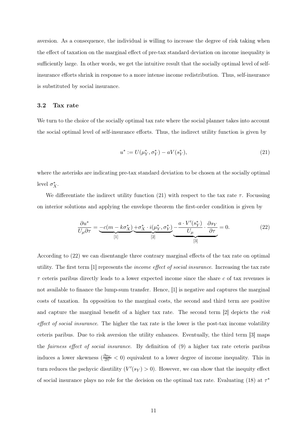aversion. As a consequence, the individual is willing to increase the degree of risk taking when the effect of taxation on the marginal effect of pre-tax standard deviation on income inequality is sufficiently large. In other words, we get the intuitive result that the socially optimal level of selfinsurance efforts shrink in response to a more intense income redistribution. Thus, self-insurance is substituted by social insurance.

#### 3.2 Tax rate

We turn to the choice of the socially optimal tax rate where the social planner takes into account the social optimal level of self-insurance efforts. Thus, the indirect utility function is given by

$$
u^* := U(\mu_Y^*, \sigma_Y^*) - aV(s_Y^*), \tag{21}
$$

where the asterisks are indicating pre-tax standard deviation to be chosen at the socially optimal level  $\sigma_X^*$ .

We differentiate the indirect utility function (21) with respect to the tax rate  $\tau$ . Focussing on interior solutions and applying the envelope theorem the first-order condition is given by

$$
\frac{\partial u^*}{U_\mu \partial \tau} = \underbrace{-c(m - k\sigma_X^*)}_{[1]} \underbrace{+\sigma_X^* \cdot i(\mu_Y^*, \sigma_Y^*)}_{[2]} - \underbrace{\frac{a \cdot V'(s_Y^*)}{U_\mu} \cdot \frac{\partial s_Y}{\partial \tau}}_{[3]} = 0. \tag{22}
$$

According to (22) we can disentangle three contrary marginal effects of the tax rate on optimal utility. The first term [1] represents the income effect of social insurance. Increasing the tax rate  $\tau$  ceteris paribus directly leads to a lower expected income since the share c of tax revenues is not available to finance the lump-sum transfer. Hence, [1] is negative and captures the marginal costs of taxation. In opposition to the marginal costs, the second and third term are positive and capture the marginal benefit of a higher tax rate. The second term [2] depicts the risk effect of social insurance. The higher the tax rate is the lower is the post-tax income volatility ceteris paribus. Due to risk aversion the utility enhances. Eventually, the third term [3] maps the fairness effect of social insurance. By definition of (9) a higher tax rate ceteris paribus induces a lower skewness  $(\frac{\partial s_Y}{\partial \tau} < 0)$  equivalent to a lower degree of income inequality. This in turn reduces the pschycic disutility  $(V'(s_Y) > 0)$ . However, we can show that the inequity effect of social insurance plays no role for the decision on the optimal tax rate. Evaluating (18) at  $\tau^*$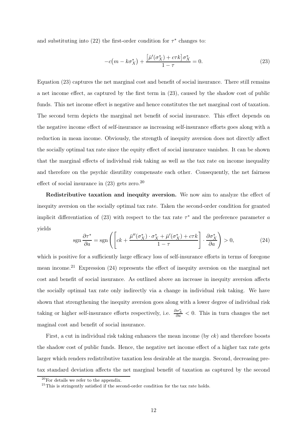and substituting into (22) the first-order condition for  $\tau^*$  changes to:

$$
-c\left(m - k\sigma_X^*\right) + \frac{\left[\bar{\mu}'(\sigma_X^*) + c\tau k\right]\sigma_X^*}{1 - \tau} = 0.
$$
\n(23)

Equation (23) captures the net marginal cost and benefit of social insurance. There still remains a net income effect, as captured by the first term in (23), caused by the shadow cost of public funds. This net income effect is negative and hence constitutes the net marginal cost of taxation. The second term depicts the marginal net benefit of social insurance. This effect depends on the negative income effect of self-insurance as increasing self-insurance efforts goes along with a reduction in mean income. Obviously, the strength of inequity aversion does not directly affect the socially optimal tax rate since the equity effect of social insurance vanishes. It can be shown that the marginal effects of individual risk taking as well as the tax rate on income inequality and therefore on the psychic disutility compensate each other. Consequently, the net fairness effect of social insurance in  $(23)$  gets zero.<sup>20</sup>

Redistributive taxation and inequity aversion. We now aim to analyze the effect of inequity aversion on the socially optimal tax rate. Taken the second-order condition for granted implicit differentiation of (23) with respect to the tax rate  $\tau^*$  and the preference parameter a yields

$$
\operatorname{sgn}\frac{\partial \tau^*}{\partial a} = \operatorname{sgn}\left( \left[ ck + \frac{\bar{\mu}''(\sigma_X^*) \cdot \sigma_X^* + \bar{\mu}'(\sigma_X^*) + c\tau k}{1 - \tau} \right] \cdot \frac{\partial \sigma_X^*}{\partial a} \right) > 0, \tag{24}
$$

which is positive for a sufficiently large efficacy loss of self-insurance efforts in terms of foregone mean income.<sup>21</sup> Expression  $(24)$  represents the effect of inequity aversion on the marginal net cost and benefit of social insurance. As outlined above an increase in inequity aversion affects the socially optimal tax rate only indirectly via a change in individual risk taking. We have shown that strengthening the inequity aversion goes along with a lower degree of individual risk taking or higher self-insurance efforts respectively, i.e.  $\frac{\partial \sigma_X^*}{\partial a} < 0$ . This in turn changes the net maginal cost and benefit of social insurance.

First, a cut in individual risk taking enhances the mean income (by ck) and therefore boosts the shadow cost of public funds. Hence, the negative net income effect of a higher tax rate gets larger which renders redistributive taxation less desirable at the margin. Second, decreasing pretax standard deviation affects the net marginal benefit of taxation as captured by the second

<sup>20</sup>For details we refer to the appendix.

 $21$ This is stringently satisfied if the second-order condition for the tax rate holds.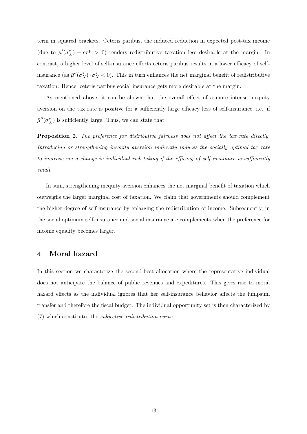term in squared brackets. Ceteris paribus, the induced reduction in expected post-tax income (due to  $\bar{\mu}'(\sigma_X^*) + c\tau k > 0$ ) renders redistributive taxation less desirable at the margin. In contrast, a higher level of self-insurance efforts ceteris paribus results in a lower efficacy of selfinsurance (as  $\bar{\mu}''(\sigma_X^*) \cdot \sigma_X^* < 0$ ). This in turn enhances the net marginal benefit of redistributive taxation. Hence, ceteris paribus social insurance gets more desirable at the margin.

As mentioned above, it can be shown that the overall effect of a more intense inequity aversion on the tax rate is positive for a sufficiently large efficacy loss of self-insurance, i.e. if  $\bar{\mu}''(\sigma_X^*)$  is sufficiently large. Thus, we can state that

Proposition 2. The preference for distributive fairness does not affect the tax rate directly. Introducing or strengthening inequity aversion indirectly induces the socially optimal tax rate to increase via a change in individual risk taking if the efficacy of self-insurance is sufficiently small.

In sum, strengthening inequity aversion enhances the net marginal benefit of taxation which outweighs the larger marginal cost of taxation. We claim that governments should complement the higher degree of self-insurance by enlarging the redistribution of income. Subsequently, in the social optimum self-insurance and social insurance are complements when the preference for income equality becomes larger.

# 4 Moral hazard

In this section we characterize the second-best allocation where the representative individual does not anticipate the balance of public revenues and expeditures. This gives rise to moral hazard effects as the individual ignores that her self-insurance behavior affects the lumpsum transfer and therefore the fiscal budget. The individual opportunity set is then characterized by (7) which constitutes the subjective redistribution curve.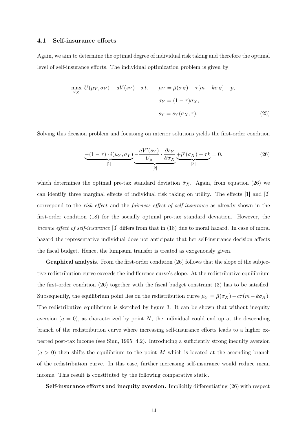#### 4.1 Self-insurance efforts

Again, we aim to determine the optimal degree of individual risk taking and therefore the optimal level of self-insurance efforts. The individual optimization problem is given by

$$
\max_{\sigma_X} U(\mu_Y, \sigma_Y) - aV(s_Y) \quad s.t. \qquad \mu_Y = \bar{\mu}(\sigma_X) - \tau[m - k\sigma_X] + p,
$$

$$
\sigma_Y = (1 - \tau)\sigma_X,
$$

$$
s_Y = s_Y(\sigma_X, \tau).
$$
(25)

Solving this decision problem and focussing on interior solutions yields the first-order condition

$$
\underbrace{-(1-\tau)\cdot i(\mu_Y,\sigma_Y)}_{[1]}\underbrace{-aV'(s_Y)}_{[2]}\cdot \underbrace{\frac{\partial s_Y}{\partial \sigma_X}}_{[3]}\underbrace{+\bar{\mu}'(\sigma_X)+\tau k}_{[3]}=0. \tag{26}
$$

which determines the optimal pre-tax standard deviation  $\tilde{\sigma}_X$ . Again, from equation (26) we can identify three marginal effects of individual risk taking on utility. The effects [1] and [2] correspond to the risk effect and the fairness effect of self-insurance as already shown in the first-order condition (18) for the socially optimal pre-tax standard deviation. However, the income effect of self-insurance [3] differs from that in (18) due to moral hazard. In case of moral hazard the representative individual does not anticipate that her self-insurance decision affects the fiscal budget. Hence, the lumpsum transfer is treated as exogenously given.

Graphical analysis. From the first-order condition (26) follows that the slope of the subjective redistribution curve exceeds the indifference curve's slope. At the redistributive equilibrium the first-order condition (26) together with the fiscal budget constraint (3) has to be satisfied. Subsequently, the equilibrium point lies on the redistribution curve  $\mu_Y = \bar{\mu}(\sigma_X) - c\tau(m - k\sigma_X)$ . The redistributive equilibrium is sketched by figure 3. It can be shown that without inequity aversion  $(a = 0)$ , as characterized by point N, the individual could end up at the descending branch of the redistribution curve where increasing self-insurance efforts leads to a higher expected post-tax income (see Sinn, 1995, 4.2). Introducing a sufficiently strong inequity aversion  $(a > 0)$  then shifts the equilibrium to the point M which is located at the ascending branch of the redistribution curve. In this case, further increasing self-insurance would reduce mean income. This result is constituted by the following comparative static.

Self-insurance efforts and inequity aversion. Implicitly differentiating (26) with respect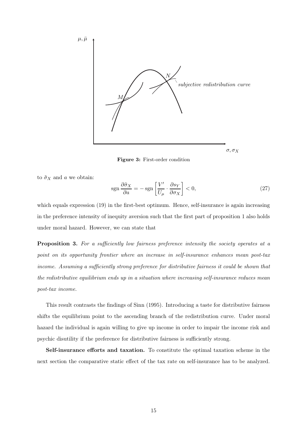

Figure 3: First-order condition

to  $\tilde{\sigma}_X$  and a we obtain:

$$
sgn\frac{\partial \tilde{\sigma}_X}{\partial a} = -sgn\left[\frac{V'}{U_\mu} \cdot \frac{\partial s_Y}{\partial \sigma_X}\right] < 0,\tag{27}
$$

which equals expression (19) in the first-best optimum. Hence, self-insurance is again increasing in the preference intensity of inequity aversion such that the first part of proposition 1 also holds under moral hazard. However, we can state that

Proposition 3. For a sufficiently low fairness preference intensity the society operates at a point on its opportunity frontier where an increase in self-insurance enhances mean post-tax income. Assuming a sufficiently strong preference for distributive fairness it could be shown that the redistributive equilibrium ends up in a situation where increasing self-insurance reduces mean post-tax income.

This result contrasts the findings of Sinn (1995). Introducing a taste for distributive fairness shifts the equilibrium point to the ascending branch of the redistribution curve. Under moral hazard the individual is again willing to give up income in order to impair the income risk and psychic disutility if the preference for distributive fairness is sufficiently strong.

Self-insurance efforts and taxation. To constitute the optimal taxation scheme in the next section the comparative static effect of the tax rate on self-insurance has to be analyzed.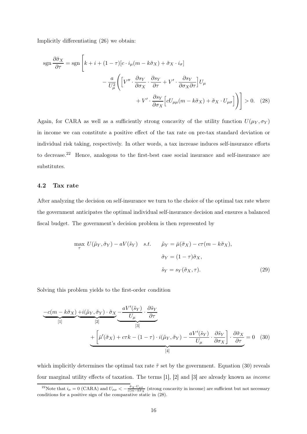Implicitly differentiating (26) we obtain:

$$
\operatorname{sgn} \frac{\partial \tilde{\sigma}_X}{\partial \tau} = \operatorname{sgn} \left[ k + i + (1 - \tau) [c \cdot i_{\mu} (m - k \tilde{\sigma}_X) + \tilde{\sigma}_X \cdot i_{\sigma}] \right. \\
\left. - \frac{a}{U_{\mu}^2} \left( \left[ V'' \cdot \frac{\partial s_Y}{\partial \sigma_X} \cdot \frac{\partial s_Y}{\partial \tau} + V' \cdot \frac{\partial s_Y}{\partial \sigma_X \partial \tau} \right] U_{\mu} \right. \\
\left. + V' \cdot \frac{\partial s_Y}{\partial \sigma_X} \left[ c U_{\mu\mu} (m - k \tilde{\sigma}_X) + \tilde{\sigma}_X \cdot U_{\mu\sigma} \right] \right) \right] > 0. \tag{28}
$$

Again, for CARA as well as a sufficiently strong concavity of the utility function  $U(\mu_Y, \sigma_Y)$ in income we can constitute a positive effect of the tax rate on pre-tax standard deviation or individual risk taking, respectively. In other words, a tax increase induces self-insurance efforts to decrease.<sup>22</sup> Hence, analogous to the first-best case social insurance and self-insurance are substitutes.

#### 4.2 Tax rate

After analyzing the decision on self-insurance we turn to the choice of the optimal tax rate where the government anticipates the optimal individual self-insurance decision and ensures a balanced fiscal budget. The government's decision problem is then represented by

$$
\max_{\tau} U(\tilde{\mu}_Y, \tilde{\sigma}_Y) - aV(\tilde{s}_Y) \quad s.t. \qquad \tilde{\mu}_Y = \bar{\mu}(\tilde{\sigma}_X) - c\tau(m - k\tilde{\sigma}_X),
$$

$$
\tilde{\sigma}_Y = (1 - \tau)\tilde{\sigma}_X,
$$

$$
\tilde{s}_Y = s_Y(\tilde{\sigma}_X, \tau).
$$
(29)

Solving this problem yields to the first-order condition

$$
\underbrace{-c(m-k\tilde{\sigma}_X)}_{[1]} \underbrace{+i(\tilde{\mu}_Y,\tilde{\sigma}_Y) \cdot \tilde{\sigma}_X}_{[2]} \underbrace{-aV'(\tilde{s}_Y)}_{[3]} \cdot \underbrace{\frac{\partial \tilde{s}_Y}{\partial \tau}}_{[4]} + \underbrace{\left[\bar{\mu}'(\tilde{\sigma}_X) + c\tau k - (1-\tau) \cdot i(\tilde{\mu}_Y,\tilde{\sigma}_Y) - \frac{aV'(\tilde{s}_Y)}{U_{\mu}} \cdot \frac{\partial \tilde{s}_Y}{\partial \sigma_X}\right]}_{[4]} \cdot \underbrace{\frac{\partial \tilde{\sigma}_X}{\partial \tau}}_{[4]} = 0 \quad (30)
$$

which implicitly determines the optimal tax rate  $\tilde{\tau}$  set by the government. Equation (30) reveals four marginal utility effects of taxation. The terms [1], [2] and [3] are already known as income

<sup>&</sup>lt;sup>22</sup>Note that  $i_{\mu} = 0$  (CARA) and  $U_{\mu\mu} < -\frac{\tilde{\sigma}_X \cdot U_{\mu\sigma}}{c(m - k\tilde{\sigma}_X)}$  (strong concavity in income) are sufficient but not necessary conditions for a positive sign of the comparative static in (28).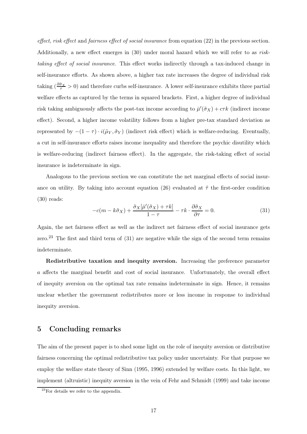effect, risk effect and fairness effect of social insurance from equation (22) in the previous section. Additionally, a new effect emerges in (30) under moral hazard which we will refer to as risktaking effect of social insurance. This effect works indirectly through a tax-induced change in self-insurance efforts. As shown above, a higher tax rate increases the degree of individual risk taking  $(\frac{\partial \tilde{\sigma}_X}{\tau} > 0)$  and therefore curbs self-insurance. A lower self-insurance exhibits three partial welfare effects as captured by the terms in squared brackets. First, a higher degree of individual risk taking ambiguously affects the post-tax income according to  $\bar{\mu}'(\tilde{\sigma}_X) + c\tau k$  (indirect income effect). Second, a higher income volatility follows from a higher pre-tax standard deviation as represented by  $-(1 - \tau) \cdot i(\tilde{\mu}_Y, \tilde{\sigma}_Y)$  (indirect risk effect) which is welfare-reducing. Eventually, a cut in self-insurance efforts raises income inequality and therefore the psychic disutility which is welfare-reducing (indirect fairness effect). In the aggregate, the risk-taking effect of social insurance is indeterminate in sign.

Analogous to the previous section we can constitute the net marginal effects of social insurance on utility. By taking into account equation (26) evaluated at  $\tilde{\tau}$  the first-order condition (30) reads:

$$
-c(m - k\tilde{\sigma}_X) + \frac{\tilde{\sigma}_X[\bar{\mu}'(\tilde{\sigma}_X) + \tau k]}{1 - \tau} - \tau k \cdot \frac{\partial \tilde{\sigma}_X}{\partial \tau} = 0.
$$
 (31)

Again, the net fairness effect as well as the indirect net fairness effect of social insurance gets zero.<sup>23</sup> The first and third term of  $(31)$  are negative while the sign of the second term remains indeterminate.

Redistributive taxation and inequity aversion. Increasing the preference parameter a affects the marginal benefit and cost of social insurance. Unfortunately, the overall effect of inequity aversion on the optimal tax rate remains indeterminate in sign. Hence, it remains unclear whether the government redistributes more or less income in response to individual inequity aversion.

# 5 Concluding remarks

The aim of the present paper is to shed some light on the role of inequity aversion or distributive fairness concerning the optimal redistributive tax policy under uncertainty. For that purpose we employ the welfare state theory of Sinn (1995, 1996) extended by welfare costs. In this light, we implement (altruistic) inequity aversion in the vein of Fehr and Schmidt (1999) and take income

<sup>23</sup>For details we refer to the appendix.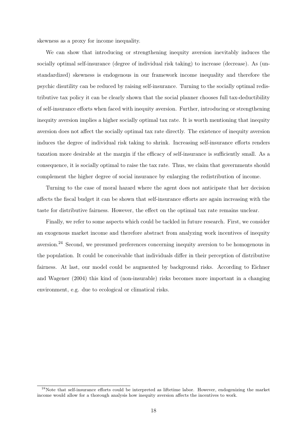skewness as a proxy for income inequality.

We can show that introducing or strengthening inequity aversion inevitably induces the socially optimal self-insurance (degree of individual risk taking) to increase (decrease). As (unstandardized) skewness is endogenous in our framework income inequality and therefore the psychic disutility can be reduced by raising self-insurance. Turning to the socially optimal redistributive tax policy it can be clearly shown that the social planner chooses full tax-deductibility of self-insurance efforts when faced with inequity aversion. Further, introducing or strengthening inequity aversion implies a higher socially optimal tax rate. It is worth mentioning that inequity aversion does not affect the socially optimal tax rate directly. The existence of inequity aversion induces the degree of individual risk taking to shrink. Increasing self-insurance efforts renders taxation more desirable at the margin if the efficacy of self-insurance is sufficiently small. As a consequence, it is socially optimal to raise the tax rate. Thus, we claim that governments should complement the higher degree of social insurance by enlarging the redistribution of income.

Turning to the case of moral hazard where the agent does not anticipate that her decision affects the fiscal budget it can be shown that self-insurance efforts are again increasing with the taste for distributive fairness. However, the effect on the optimal tax rate remains unclear.

Finally, we refer to some aspects which could be tackled in future research. First, we consider an exogenous market income and therefore abstract from analyzing work incentives of inequity aversion.<sup>24</sup> Second, we presumed preferences concerning inequity aversion to be homogenous in the population. It could be conceivable that individuals differ in their perception of distributive fairness. At last, our model could be augmented by background risks. According to Eichner and Wagener (2004) this kind of (non-insurable) risks becomes more important in a changing environment, e.g. due to ecological or climatical risks.

<sup>&</sup>lt;sup>24</sup>Note that self-insurance efforts could be interpreted as liftetime labor. However, endogenizing the market income would allow for a thorough analysis how inequity aversion affects the incentives to work.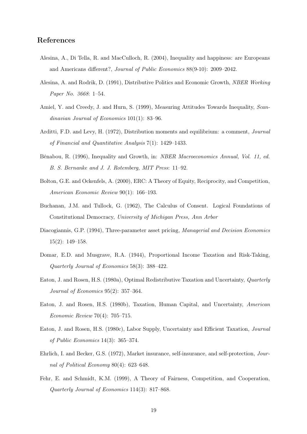## References

- Alesina, A., Di Tella, R. and MacCulloch, R. (2004), Inequality and happiness: are Europeans and Americans different?, Journal of Public Economics 88(9-10): 2009–2042.
- Alesina, A. and Rodrik, D. (1991), Distributive Politics and Economic Growth, NBER Working Paper No. 3668: 1–54.
- Amiel, Y. and Creedy, J. and Hurn, S. (1999), Measuring Attitudes Towards Inequality, Scandinavian Journal of Economics 101(1): 83–96.
- Arditti, F.D. and Levy, H. (1972), Distribution moments and equilibrium: a comment, Journal of Financial and Quantitative Analysis 7(1): 1429–1433.
- Bénabou, R. (1996), Inequality and Growth, in: NBER Macroeconomics Annual, Vol. 11, ed. B. S. Bernanke and J. J. Rotemberg, MIT Press: 11–92.
- Bolton, G.E. and Ockenfels, A. (2000), ERC: A Theory of Equity, Reciprocity, and Competition, American Economic Review 90(1): 166–193.
- Buchanan, J.M. and Tullock, G. (1962), The Calculus of Consent. Logical Foundations of Constitutional Democracy, University of Michigan Press, Ann Arbor
- Diacogiannis, G.P. (1994), Three-parameter asset pricing, Managerial and Decision Economics 15(2): 149–158.
- Domar, E.D. and Musgrave, R.A. (1944), Proportional Income Taxation and Risk-Taking, Quarterly Journal of Economics 58(3): 388–422.
- Eaton, J. and Rosen, H.S. (1980a), Optimal Redistributive Taxation and Uncertainty, Quarterly Journal of Economics 95(2): 357–364.
- Eaton, J. and Rosen, H.S. (1980b), Taxation, Human Capital, and Uncertainty, American Economic Review 70(4): 705–715.
- Eaton, J. and Rosen, H.S. (1980c), Labor Supply, Uncertainty and Efficient Taxation, Journal of Public Economics 14(3): 365–374.
- Ehrlich, I. and Becker, G.S. (1972), Market insurance, self-insurance, and self-protection, Journal of Political Economy 80(4): 623–648.
- Fehr, E. and Schmidt, K.M. (1999), A Theory of Fairness, Competition, and Cooperation, Quarterly Journal of Economics 114(3): 817–868.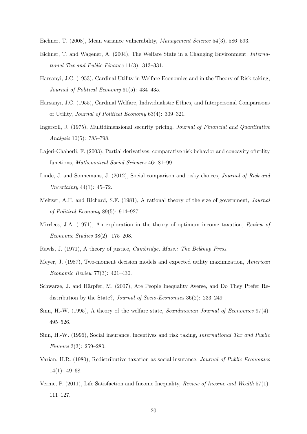Eichner, T. (2008), Mean variance vulnerability, Management Science 54(3), 586–593.

- Eichner, T. and Wagener, A. (2004), The Welfare State in a Changing Environment, International Tax and Public Finance 11(3): 313–331.
- Harsanyi, J.C. (1953), Cardinal Utility in Welfare Economics and in the Theory of Risk-taking, Journal of Political Economy 61(5): 434–435.
- Harsanyi, J.C. (1955), Cardinal Welfare, Individualistic Ethics, and Interpersonal Comparisons of Utility, Journal of Political Economy 63(4): 309–321.
- Ingersoll, J. (1975), Multidimensional security pricing, Journal of Financial and Quantitative Analysis 10(5): 785–798.
- Lajeri-Chaherli, F. (2003), Partial derivatives, comparative risk behavior and concavity ofutility functions, Mathematical Social Sciences 46: 81–99.
- Linde, J. and Sonnemans, J. (2012), Social comparison and risky choices, *Journal of Risk and* Uncertainty 44(1):  $45-72$ .
- Meltzer, A.H. and Richard, S.F. (1981), A rational theory of the size of government, Journal of Political Economy 89(5): 914–927.
- Mirrlees, J.A. (1971), An exploration in the theory of optimum income taxation, Review of Economic Studies 38(2): 175–208.
- Rawls, J. (1971), A theory of justice, Cambridge, Mass.: The Belknap Press.
- Meyer, J. (1987), Two-moment decision models and expected utility maximization, American Economic Review 77(3): 421–430.
- Schwarze, J. and Härpfer, M. (2007), Are People Inequality Averse, and Do They Prefer Redistribution by the State?, Journal of Socio-Economics 36(2): 233–249 .
- Sinn, H.-W. (1995), A theory of the welfare state, Scandinavian Journal of Economics 97(4): 495–526.
- Sinn, H.-W. (1996), Social insurance, incentives and risk taking, International Tax and Public Finance 3(3): 259–280.
- Varian, H.R. (1980), Redistributive taxation as social insurance, Journal of Public Economics 14(1): 49–68.
- Verme, P. (2011), Life Satisfaction and Income Inequality, Review of Income and Wealth 57(1): 111–127.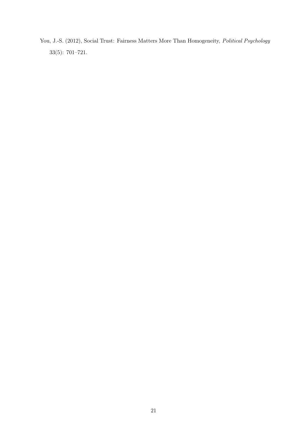You, J.-S. (2012), Social Trust: Fairness Matters More Than Homogeneity, Political Psychology 33(5): 701–721.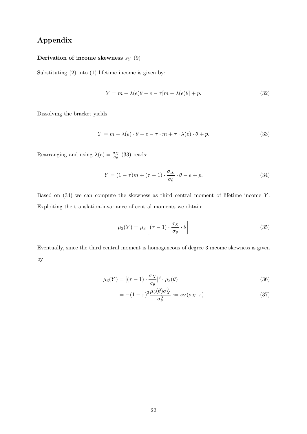# Appendix

# Derivation of income skewness  $s_Y(9)$

Substituting (2) into (1) lifetime income is given by:

$$
Y = m - \lambda(e)\theta - e - \tau[m - \lambda(e)\theta] + p.
$$
\n(32)

Dissolving the bracket yields:

$$
Y = m - \lambda(e) \cdot \theta - e - \tau \cdot m + \tau \cdot \lambda(e) \cdot \theta + p. \tag{33}
$$

Rearranging and using  $\lambda(e) = \frac{\sigma_X}{\sigma_\theta}$  (33) reads:

$$
Y = (1 - \tau)m + (\tau - 1) \cdot \frac{\sigma_X}{\sigma_\theta} \cdot \theta - e + p. \tag{34}
$$

Based on  $(34)$  we can compute the skewness as third central moment of lifetime income Y. Exploiting the translation-invariance of central moments we obtain:

$$
\mu_3(Y) = \mu_3 \left[ (\tau - 1) \cdot \frac{\sigma_X}{\sigma_\theta} \cdot \theta \right] \tag{35}
$$

Eventually, since the third central moment is homogeneous of degree 3 income skewness is given by

$$
\mu_3(Y) = [(\tau - 1) \cdot \frac{\sigma_X}{\sigma_\theta}]^3 \cdot \mu_3(\theta) \tag{36}
$$

$$
= -(1 - \tau)^3 \frac{\mu_3(\theta)\sigma_X^3}{\sigma_\theta^3} := s_Y(\sigma_X, \tau) \tag{37}
$$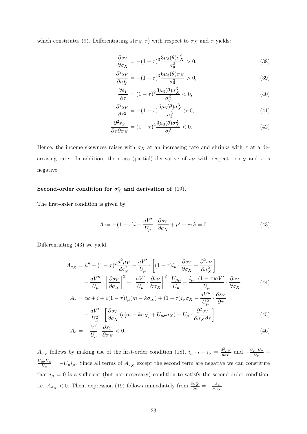which constitutes (9). Differentiating  $s(\sigma_X, \tau)$  with respect to  $\sigma_X$  and  $\tau$  yields:

$$
\frac{\partial s_Y}{\partial \sigma_X} = -(1 - \tau)^3 \frac{3\mu_3(\theta)\sigma_X^2}{\sigma_\theta^3} > 0,
$$
\n(38)

$$
\frac{\partial^2 s_Y}{\partial \sigma_X^2} = -(1 - \tau)^3 \frac{6\mu_3(\theta)\sigma_X}{\sigma_\theta^3} > 0,
$$
\n(39)

$$
\frac{\partial s_Y}{\partial \tau} = (1 - \tau)^2 \frac{3\mu_3(\theta)\sigma_X^3}{\sigma_\theta^3} < 0,\tag{40}
$$

$$
\frac{\partial^2 s_Y}{\partial \tau^2} = -(1 - \tau) \frac{6\mu_3(\theta)\sigma_X^3}{\sigma_\theta^3} > 0,
$$
\n(41)

$$
\frac{\partial^2 s_Y}{\partial \tau \partial \sigma_X} = (1 - \tau)^2 \frac{9\mu_3(\theta)\sigma_X^2}{\sigma_\theta^3} < 0. \tag{42}
$$

Hence, the income skewness raises with  $\sigma_X$  at an increasing rate and shrinks with  $\tau$  at a decreasing rate. In addition, the cross (partial) derivative of  $s_Y$  with respect to  $\sigma_X$  and  $\tau$  is negative.

# Second-order condition for  $\sigma_X^*$  and derivation of (19).

The first-order condition is given by

$$
A := -(1 - \tau)i - \frac{aV'}{U_{\mu}} \cdot \frac{\partial s_Y}{\partial \sigma_X} + \bar{\mu}' + c\tau k = 0.
$$
 (43)

Differentiating (43) we yield:

$$
A_{\sigma_X} = \bar{\mu}'' - (1 - \tau)^2 \frac{d^2 \mu_Y}{d \sigma_Y^2} - \frac{aV'}{U_\mu} \cdot \left[ (1 - \tau) i_\mu \cdot \frac{\partial s_Y}{\partial \sigma_X} + \frac{\partial^2 s_Y}{\partial \sigma_X^2} \right] - \frac{aV''}{U_\mu} \cdot \left[ \frac{\partial s_Y}{\partial \sigma_X} \right]^2 + \left[ \frac{aV'}{U_\mu} \cdot \frac{\partial s_Y}{\partial \sigma_X} \right]^2 \cdot \frac{U_{\mu\mu}}{U_\mu} - \frac{i_\mu \cdot (1 - \tau) aV'}{U_\mu} \cdot \frac{\partial s_Y}{\partial \sigma_X} - \frac{aV''}{\partial \sigma_X} \cdot \frac{\partial s_Y}{\partial \sigma_X}
$$
(44)

$$
A_{\tau} = ck + i + c(1 - \tau)i_{\mu}(m - k\sigma_{X}) + (1 - \tau)i_{\sigma}\sigma_{X} - \frac{aV}{U_{\mu}^{2}} \cdot \frac{\sigma_{Y}}{\partial \tau} - \frac{aV'}{U_{\mu}^{2}} \cdot \left[\frac{\partial s_{Y}}{\partial \sigma_{X}}(c[m - k\sigma_{X}] + U_{\mu\sigma}\sigma_{X}) + U_{\mu} \cdot \frac{\partial^{2} s_{Y}}{\partial \sigma_{X}\partial \tau}\right]
$$
(45)

$$
A_a = -\frac{V'}{U_\mu} \cdot \frac{\partial s_Y}{\partial \sigma_X} < 0. \tag{46}
$$

 $A_{\sigma_X}$  follows by making use of the first-order condition (18),  $i_\mu \cdot i + i_\sigma = \frac{d^2 \mu_Y}{d\sigma_Y^2}$  $rac{d^2 \mu_Y}{d \sigma_Y^2}$  and  $-\frac{U_{\mu\mu}U_\sigma}{U_\mu}$  $\frac{\mu U \sigma}{U \mu}$  +  $U_{\mu\sigma}U_{\mu}$  $\frac{d\sigma U_{\mu}}{U_{\mu}} = -U_{\mu}i_{\mu}$ . Since all terms of  $A_{\sigma_X}$  except the second term are negative we can constitute that  $i_{\mu} = 0$  is a sufficient (but not necessary) condition to satisfy the second-order condition, i.e.  $A_{\sigma_X} < 0$ . Then, expression (19) follows immediately from  $\frac{\partial \sigma_X^*}{\partial a} = -\frac{A_a}{A_{\sigma_2}}$  $\frac{A_a}{A_{\sigma_X}}$ .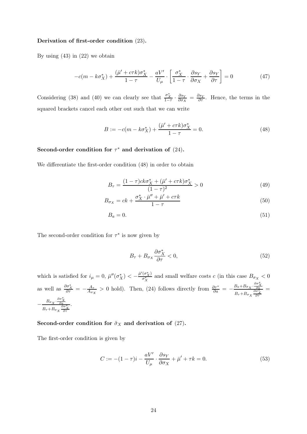#### Derivation of first-order condition (23).

By using  $(43)$  in  $(22)$  we obtain

$$
-c(m - k\sigma_X^*) + \frac{(\bar{\mu}' + c\tau k)\sigma_X^*}{1 - \tau} - \frac{aV'}{U_\mu} \cdot \left[\frac{\sigma_X^*}{1 - \tau} \cdot \frac{\partial s_Y}{\partial \sigma_X} + \frac{\partial s_Y}{\partial \tau}\right] = 0
$$
 (47)

Considering (38) and (40) we can clearly see that  $\frac{\sigma_X^*}{1-\tau} \cdot \frac{\partial s_Y}{\partial \sigma_X}$  $\frac{\partial s_Y}{\partial \sigma_X} = \frac{\partial s_Y}{\partial \tau}$ . Hence, the terms in the squared brackets cancel each other out such that we can write

$$
B := -c(m - k\sigma_X^*) + \frac{(\bar{\mu}' + c\tau k)\sigma_X^*}{1 - \tau} = 0.
$$
 (48)

# Second-order condition for  $\tau^*$  and derivation of  $(24)$ .

We differentiate the first-order condition (48) in order to obtain

$$
B_{\tau} = \frac{(1-\tau)c k \sigma_X^* + (\bar{\mu}' + c\tau k)\sigma_X^*}{(1-\tau)^2} > 0
$$
\n(49)

$$
B_{\sigma_X} = ck + \frac{\sigma_X^* \cdot \bar{\mu}'' + \bar{\mu}' + c\tau k}{1 - \tau} \tag{50}
$$

$$
B_a = 0.\t\t(51)
$$

The second-order condition for  $\tau^*$  is now given by

$$
B_{\tau} + B_{\sigma_X} \frac{\partial \sigma_X^*}{\partial \tau} < 0,\tag{52}
$$

which is satisfied for  $i_{\mu} = 0$ ,  $\bar{\mu}''(\sigma_X^*) < -\frac{\bar{\mu}'(\sigma_X^*)}{\sigma_X^*}$  and small welfare costs c (in this case  $B_{\sigma_X} < 0$ as well as  $\frac{\partial \sigma_X^*}{\partial \tau} = -\frac{A_{\tau}}{A_{\sigma}}$  $\frac{A_{\tau}}{A_{\sigma_X}} > 0$  hold). Then, (24) follows directly from  $\frac{\partial \tau^*}{\partial a} = -\frac{B_a + B_{\sigma_X} \cdot \frac{\partial \sigma_X^*}{\partial a}}{B_{\sigma_X} + B_{\sigma_X} \cdot \frac{\partial \sigma_X^*}{\partial a}}$  $B_{\tau} + B_{\sigma} \frac{\partial a}{\partial \sigma_X} \frac{\partial \sigma_X^*}{\partial \tau}$ =  $-\frac{B_{\sigma_X} \cdot \frac{\partial \sigma_X^*}{\partial a}}{a}$  $B_{\tau} + B_{\sigma} \frac{\partial \sigma_X^*}{\partial \tau}$ .

#### Second-order condition for  $\tilde{\sigma}_X$  and derivation of (27).

The first-order condition is given by

$$
C := -(1 - \tau)i - \frac{aV'}{U_{\mu}} \cdot \frac{\partial s_Y}{\partial \sigma_X} + \bar{\mu}' + \tau k = 0.
$$
\n(53)